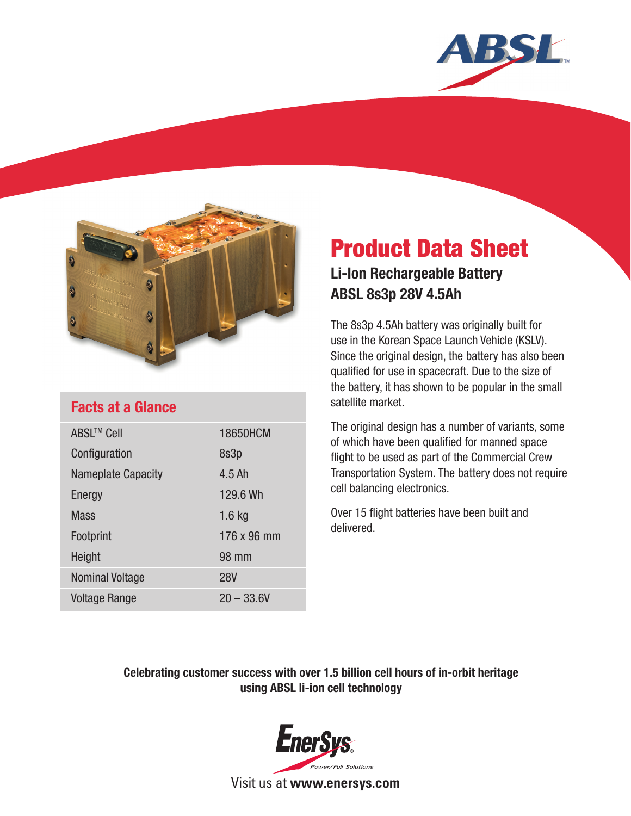



| <b>Facts at a Glance</b> |
|--------------------------|
|--------------------------|

| ABSL™ Cell                | 18650HCM     |
|---------------------------|--------------|
| Configuration             | 8s3p         |
| <b>Nameplate Capacity</b> | 4.5 Ah       |
| Energy                    | 129.6 Wh     |
| <b>Mass</b>               | $1.6$ kg     |
| Footprint                 | 176 x 96 mm  |
| <b>Height</b>             | 98 mm        |
| <b>Nominal Voltage</b>    | <b>28V</b>   |
| <b>Voltage Range</b>      | $20 - 33.6V$ |

# Product Data Sheet **Li-Ion Rechargeable Battery ABSL 8s3p 28V 4.5Ah**

The 8s3p 4.5Ah battery was originally built for use in the Korean Space Launch Vehicle (KSLV). Since the original design, the battery has also been qualified for use in spacecraft. Due to the size of the battery, it has shown to be popular in the small satellite market.

The original design has a number of variants, some of which have been qualified for manned space flight to be used as part of the Commercial Crew Transportation System. The battery does not require cell balancing electronics.

Over 15 flight batteries have been built and delivered.

### **Celebrating customer success with over 1.5 billion cell hours of in-orbit heritage using ABSL li-ion cell technology**